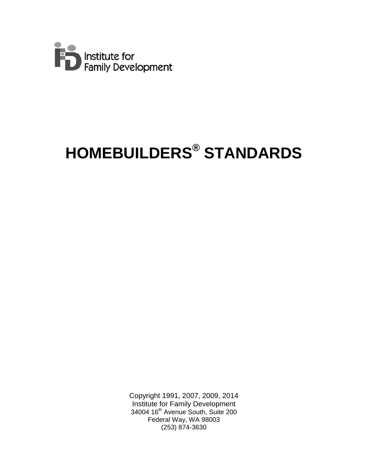

# **HOMEBUILDERS® STANDARDS**

Copyright 1991, 2007, 2009, 2014 Institute for Family Development 34004 16<sup>th</sup> Avenue South, Suite 200 Federal Way, WA 98003 (253) 874-3630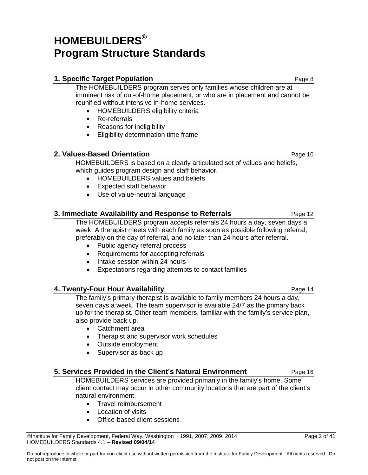## **HOMEBUILDERS® Program Structure Standards**

#### **1. Specific Target Population Page 8 Page 8 Page 8**

The HOMEBUILDERS program serves only families whose children are at imminent risk of out-of-home placement, or who are in placement and cannot be reunified without intensive in-home services.

- HOMEBUILDERS eligibility criteria
- Re-referrals
- Reasons for ineligibility
- Eligibility determination time frame

#### **2. Values-Based Orientation Page 10 Page 10**

HOMEBUILDERS is based on a clearly articulated set of values and beliefs, which guides program design and staff behavior.

- HOMEBUILDERS values and beliefs
- Expected staff behavior
- Use of value-neutral language

#### **3. Immediate Availability and Response to Referrals** Page 12

The HOMEBUILDERS program accepts referrals 24 hours a day, seven days a week. A therapist meets with each family as soon as possible following referral, preferably on the day of referral, and no later than 24 hours after referral.

- Public agency referral process
- Requirements for accepting referrals
- Intake session within 24 hours
- Expectations regarding attempts to contact families

#### **4. Twenty-Four Hour Availability Page 14** Page 14

The family's primary therapist is available to family members 24 hours a day, seven days a week. The team supervisor is available 24/7 as the primary back up for the therapist. Other team members, familiar with the family's service plan, also provide back up.

- Catchment area
- Therapist and supervisor work schedules
- Outside employment
- Supervisor as back up

#### **5. Services Provided in the Client's Natural Environment** Page 16

HOMEBUILDERS services are provided primarily in the family's home. Some client contact may occur in other community locations that are part of the client's natural environment.

- Travel reimbursement
- Location of visits
- Office-based client sessions

 $\heartsuit$ Institute for Family Development, Federal Way, Washington ~ 1991, 2007, 2009, 2014 Page 2 of 41 HOMEBUILDERS Standards 4.1 – **Revised 09/04/14**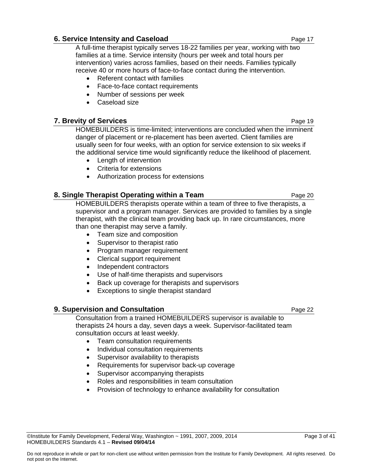#### **6. Service Intensity and Caseload Arror Control Control Case 17** Page 17

A full-time therapist typically serves 18-22 families per year, working with two families at a time. Service intensity (hours per week and total hours per intervention) varies across families, based on their needs. Families typically receive 40 or more hours of face-to-face contact during the intervention.

- Referent contact with families
- Face-to-face contact requirements
- Number of sessions per week
- Caseload size

#### **7. Brevity of Services Page 19**

HOMEBUILDERS is time-limited; interventions are concluded when the imminent danger of placement or re-placement has been averted. Client families are usually seen for four weeks, with an option for service extension to six weeks if the additional service time would significantly reduce the likelihood of placement.

- Length of intervention
- Criteria for extensions
- Authorization process for extensions

#### **8. Single Therapist Operating within a Team** Page 20 Page 20

HOMEBUILDERS therapists operate within a team of three to five therapists, a supervisor and a program manager. Services are provided to families by a single therapist, with the clinical team providing back up. In rare circumstances, more than one therapist may serve a family.

- Team size and composition
- Supervisor to therapist ratio
- Program manager requirement
- Clerical support requirement
- Independent contractors
- Use of half-time therapists and supervisors
- Back up coverage for therapists and supervisors
- Exceptions to single therapist standard

#### **9. Supervision and Consultation Page 22 Page 22**

HOMEBUILDERS Standards 4.1 – **Revised 09/04/14**

Consultation from a trained HOMEBUILDERS supervisor is available to therapists 24 hours a day, seven days a week. Supervisor-facilitated team consultation occurs at least weekly.

- Team consultation requirements
- Individual consultation requirements
- Supervisor availability to therapists
- Requirements for supervisor back-up coverage
- Supervisor accompanying therapists
- Roles and responsibilities in team consultation
- Provision of technology to enhance availability for consultation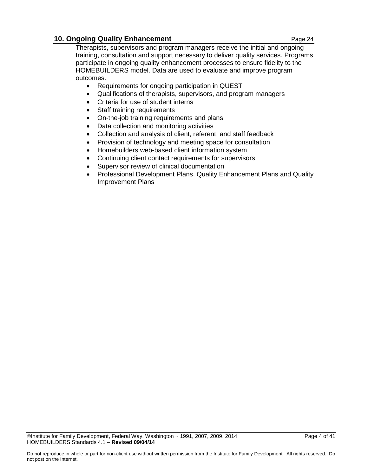#### **10. Ongoing Quality Enhancement Page 24 Page 24**

Therapists, supervisors and program managers receive the initial and ongoing training, consultation and support necessary to deliver quality services. Programs participate in ongoing quality enhancement processes to ensure fidelity to the HOMEBUILDERS model. Data are used to evaluate and improve program outcomes.

- Requirements for ongoing participation in QUEST
- Qualifications of therapists, supervisors, and program managers
- Criteria for use of student interns
- Staff training requirements
- On-the-job training requirements and plans
- Data collection and monitoring activities
- Collection and analysis of client, referent, and staff feedback
- Provision of technology and meeting space for consultation
- Homebuilders web-based client information system
- Continuing client contact requirements for supervisors
- Supervisor review of clinical documentation
- Professional Development Plans, Quality Enhancement Plans and Quality Improvement Plans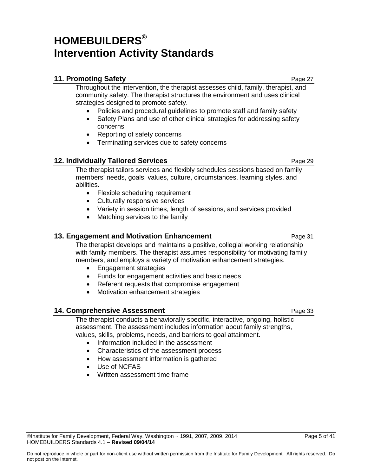## **HOMEBUILDERS® Intervention Activity Standards**

#### **11. Promoting Safety Page 27**

Throughout the intervention, the therapist assesses child, family, therapist, and community safety. The therapist structures the environment and uses clinical strategies designed to promote safety.

- Policies and procedural guidelines to promote staff and family safety
- Safety Plans and use of other clinical strategies for addressing safety concerns
- Reporting of safety concerns
- Terminating services due to safety concerns

#### **12. Individually Tailored Services** Page 29

The therapist tailors services and flexibly schedules sessions based on family members' needs, goals, values, culture, circumstances, learning styles, and abilities.

- Flexible scheduling requirement
- Culturally responsive services
- Variety in session times, length of sessions, and services provided
- Matching services to the family

#### **13. Engagement and Motivation Enhancement Page 31** Page 31

The therapist develops and maintains a positive, collegial working relationship with family members. The therapist assumes responsibility for motivating family members, and employs a variety of motivation enhancement strategies.

- Engagement strategies
- Funds for engagement activities and basic needs
- Referent requests that compromise engagement
- Motivation enhancement strategies

#### **14. Comprehensive Assessment Comprehensive Assessment Page 33**

The therapist conducts a behaviorally specific, interactive, ongoing, holistic assessment. The assessment includes information about family strengths, values, skills, problems, needs, and barriers to goal attainment.

- Information included in the assessment
- Characteristics of the assessment process
- How assessment information is gathered
- Use of NCFAS

HOMEBUILDERS Standards 4.1 – **Revised 09/04/14**

• Written assessment time frame

 $\oslash$  Olnstitute for Family Development, Federal Way, Washington  $\sim$  1991, 2007, 2009, 2014 Page 5 of 41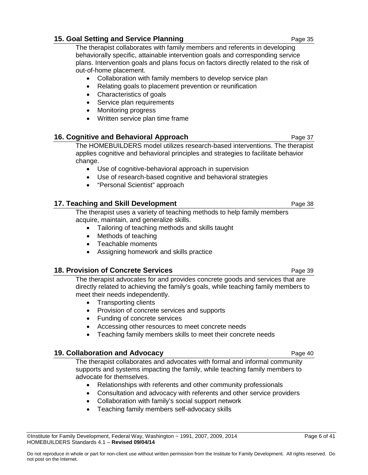#### $\oslash$  Olnstitute for Family Development, Federal Way, Washington  $\sim$  1991, 2007, 2009, 2014 Page 6 of 41 HOMEBUILDERS Standards 4.1 – **Revised 09/04/14**

### **15. Goal Setting and Service Planning The Community Community Page 35**

The therapist collaborates with family members and referents in developing behaviorally specific, attainable intervention goals and corresponding service plans. Intervention goals and plans focus on factors directly related to the risk of out-of-home placement.

- Collaboration with family members to develop service plan
- Relating goals to placement prevention or reunification
- Characteristics of goals
- Service plan requirements
- Monitoring progress
- Written service plan time frame

#### **16. Cognitive and Behavioral Approach Construction Construction Cage 37**

The HOMEBUILDERS model utilizes research-based interventions. The therapist applies cognitive and behavioral principles and strategies to facilitate behavior change.

- Use of cognitive-behavioral approach in supervision
- Use of research-based cognitive and behavioral strategies
- "Personal Scientist" approach

#### **17. Teaching and Skill Development Page 18** Page 38

The therapist uses a variety of teaching methods to help family members acquire, maintain, and generalize skills.

- Tailoring of teaching methods and skills taught
- Methods of teaching
- Teachable moments
- Assigning homework and skills practice

#### **18. Provision of Concrete Services Page 19 and Page 39**

The therapist advocates for and provides concrete goods and services that are directly related to achieving the family's goals, while teaching family members to meet their needs independently.

- Transporting clients
- Provision of concrete services and supports
- Funding of concrete services
- Accessing other resources to meet concrete needs
- Teaching family members skills to meet their concrete needs

#### **19. Collaboration and Advocacy Page 40** Page 40

The therapist collaborates and advocates with formal and informal community supports and systems impacting the family, while teaching family members to advocate for themselves.

- Relationships with referents and other community professionals
- Consultation and advocacy with referents and other service providers
- Collaboration with family's social support network
- Teaching family members self-advocacy skills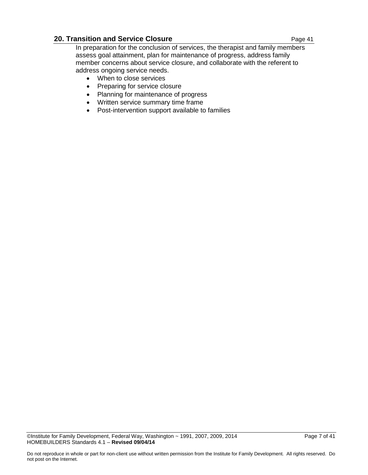#### **20. Transition and Service Closure Page 41** Page 41

In preparation for the conclusion of services, the therapist and family members assess goal attainment, plan for maintenance of progress, address family member concerns about service closure, and collaborate with the referent to address ongoing service needs.

- When to close services
- Preparing for service closure
- Planning for maintenance of progress
- Written service summary time frame
- Post-intervention support available to families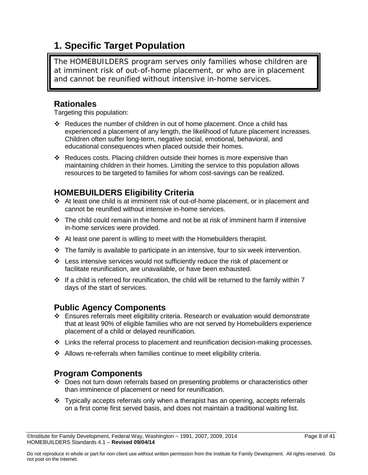### **1. Specific Target Population**

The HOMEBUILDERS program serves only families whose children are at imminent risk of out-of-home placement, or who are in placement and cannot be reunified without intensive in-home services.

### **Rationales**

Targeting this population:

- Reduces the number of children in out of home placement. Once a child has experienced a placement of any length, the likelihood of future placement increases. Children often suffer long-term, negative social, emotional, behavioral, and educational consequences when placed outside their homes.
- $\div$  Reduces costs. Placing children outside their homes is more expensive than maintaining children in their homes. Limiting the service to this population allows resources to be targeted to families for whom cost-savings can be realized.

### **HOMEBUILDERS Eligibility Criteria**

- At least one child is at imminent risk of out-of-home placement, or in placement and cannot be reunified without intensive in-home services.
- $\div$  The child could remain in the home and not be at risk of imminent harm if intensive in-home services were provided.
- $\div$  At least one parent is willing to meet with the Homebuilders therapist.
- $\cdot \cdot$  The family is available to participate in an intensive, four to six week intervention.
- Less intensive services would not sufficiently reduce the risk of placement or facilitate reunification, are unavailable, or have been exhausted.
- $\cdot$  If a child is referred for reunification, the child will be returned to the family within 7 days of the start of services.

### **Public Agency Components**

- Ensures referrals meet eligibility criteria. Research or evaluation would demonstrate that at least 90% of eligible families who are not served by Homebuilders experience placement of a child or delayed reunification.
- $\div$  Links the referral process to placement and reunification decision-making processes.
- Allows re-referrals when families continue to meet eligibility criteria.

### **Program Components**

- Does not turn down referrals based on presenting problems or characteristics other than imminence of placement or need for reunification.
- $\div$  Typically accepts referrals only when a therapist has an opening, accepts referrals on a first come first served basis, and does not maintain a traditional waiting list.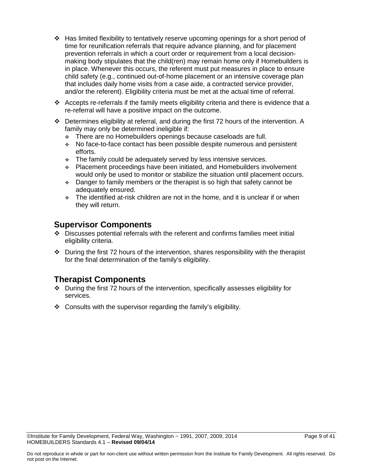- $\div$  Has limited flexibility to tentatively reserve upcoming openings for a short period of time for reunification referrals that require advance planning, and for placement prevention referrals in which a court order or requirement from a local decisionmaking body stipulates that the child(ren) may remain home only if Homebuilders is in place. Whenever this occurs, the referent must put measures in place to ensure child safety (e.g., continued out-of-home placement or an intensive coverage plan that includes daily home visits from a case aide, a contracted service provider, and/or the referent). Eligibility criteria must be met at the actual time of referral.
- $\cdot \cdot$  Accepts re-referrals if the family meets eligibility criteria and there is evidence that a re-referral will have a positive impact on the outcome.
- $\div$  Determines eligibility at referral, and during the first 72 hours of the intervention. A family may only be determined ineligible if:
	- There are no Homebuilders openings because caseloads are full.
	- No face-to-face contact has been possible despite numerous and persistent efforts.
	- $\div$  The family could be adequately served by less intensive services.
	- Placement proceedings have been initiated, and Homebuilders involvement would only be used to monitor or stabilize the situation until placement occurs.
	- Danger to family members or the therapist is so high that safety cannot be adequately ensured.
	- $\div$  The identified at-risk children are not in the home, and it is unclear if or when they will return.

### **Supervisor Components**

- Discusses potential referrals with the referent and confirms families meet initial eligibility criteria.
- $\cdot \cdot$  During the first 72 hours of the intervention, shares responsibility with the therapist for the final determination of the family's eligibility.

- $\cdot$  During the first 72 hours of the intervention, specifically assesses eligibility for services.
- $\div$  Consults with the supervisor regarding the family's eligibility.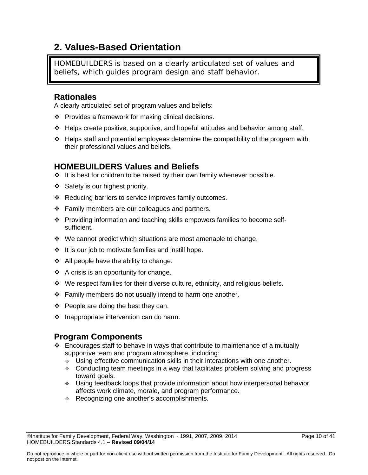### **2. Values-Based Orientation**

HOMEBUILDERS is based on a clearly articulated set of values and beliefs, which guides program design and staff behavior.

### **Rationales**

A clearly articulated set of program values and beliefs:

- $\div$  Provides a framework for making clinical decisions.
- Helps create positive, supportive, and hopeful attitudes and behavior among staff.
- $\div$  Helps staff and potential employees determine the compatibility of the program with their professional values and beliefs.

### **HOMEBUILDERS Values and Beliefs**

- $\cdot \cdot$  It is best for children to be raised by their own family whenever possible.
- $\div$  Safety is our highest priority.
- \* Reducing barriers to service improves family outcomes.
- Family members are our colleagues and partners.
- Providing information and teaching skills empowers families to become selfsufficient.
- $\cdot$  We cannot predict which situations are most amenable to change.
- $\cdot \cdot$  It is our job to motivate families and instill hope.
- $\div$  All people have the ability to change.
- $\div$  A crisis is an opportunity for change.
- We respect families for their diverse culture, ethnicity, and religious beliefs.
- $\div$  Family members do not usually intend to harm one another.
- $\div$  People are doing the best they can.
- $\div$  Inappropriate intervention can do harm.

### **Program Components**

- Encourages staff to behave in ways that contribute to maintenance of a mutually supportive team and program atmosphere, including:
	- Using effective communication skills in their interactions with one another.
	- Conducting team meetings in a way that facilitates problem solving and progress toward goals.
	- $\cdot$  Using feedback loops that provide information about how interpersonal behavior affects work climate, morale, and program performance.
	- \* Recognizing one another's accomplishments.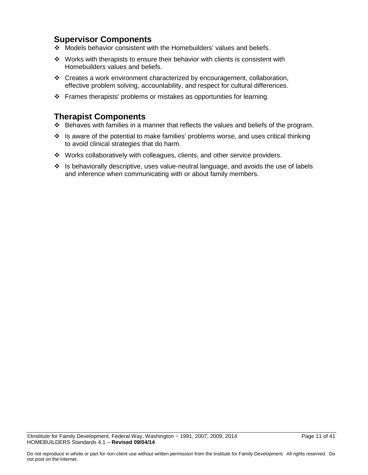### **Supervisor Components**

- Models behavior consistent with the Homebuilders' values and beliefs.
- $\cdot \cdot$  Works with therapists to ensure their behavior with clients is consistent with Homebuilders values and beliefs.
- Creates a work environment characterized by encouragement, collaboration, effective problem solving, accountability, and respect for cultural differences.
- Frames therapists' problems or mistakes as opportunities for learning.

- $\div$  Behaves with families in a manner that reflects the values and beliefs of the program.
- $\cdot$  Is aware of the potential to make families' problems worse, and uses critical thinking to avoid clinical strategies that do harm.
- \* Works collaboratively with colleagues, clients, and other service providers.
- ❖ Is behaviorally descriptive, uses value-neutral language, and avoids the use of labels and inference when communicating with or about family members.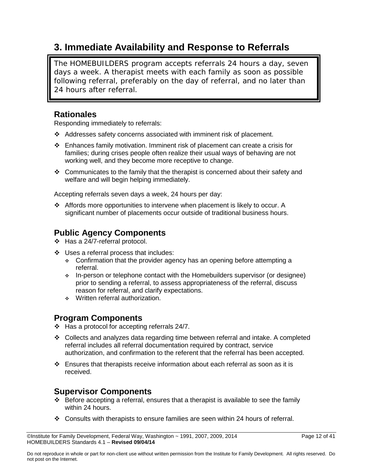### **3. Immediate Availability and Response to Referrals**

The HOMEBUILDERS program accepts referrals 24 hours a day, seven days a week. A therapist meets with each family as soon as possible following referral, preferably on the day of referral, and no later than 24 hours after referral.

### **Rationales**

Responding immediately to referrals:

- $\triangleleft$  Addresses safety concerns associated with imminent risk of placement.
- Enhances family motivation. Imminent risk of placement can create a crisis for families; during crises people often realize their usual ways of behaving are not working well, and they become more receptive to change.
- $\div$  Communicates to the family that the therapist is concerned about their safety and welfare and will begin helping immediately.

Accepting referrals seven days a week, 24 hours per day:

 Affords more opportunities to intervene when placement is likely to occur. A significant number of placements occur outside of traditional business hours.

### **Public Agency Components**

- Has a 24/7-referral protocol.
- Uses a referral process that includes:
	- Confirmation that the provider agency has an opening before attempting a referral.
	- In-person or telephone contact with the Homebuilders supervisor (or designee) prior to sending a referral, to assess appropriateness of the referral, discuss reason for referral, and clarify expectations.
	- Written referral authorization.

### **Program Components**

- $\div$  Has a protocol for accepting referrals 24/7.
- Collects and analyzes data regarding time between referral and intake. A completed referral includes all referral documentation required by contract, service authorization, and confirmation to the referent that the referral has been accepted.
- $\div$  Ensures that therapists receive information about each referral as soon as it is received.

### **Supervisor Components**

- $\div$  Before accepting a referral, ensures that a therapist is available to see the family within 24 hours.
- Consults with therapists to ensure families are seen within 24 hours of referral.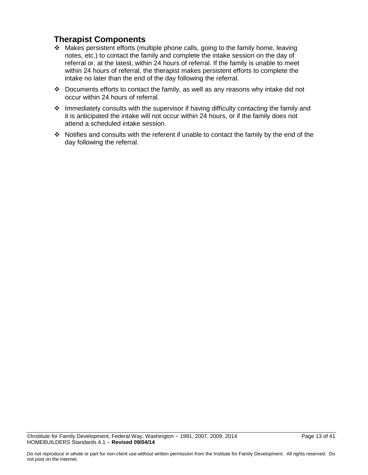- Makes persistent efforts (multiple phone calls, going to the family home, leaving notes, etc.) to contact the family and complete the intake session on the day of referral or, at the latest, within 24 hours of referral. If the family is unable to meet within 24 hours of referral, the therapist makes persistent efforts to complete the intake no later than the end of the day following the referral.
- Documents efforts to contact the family, as well as any reasons why intake did not occur within 24 hours of referral.
- \* Immediately consults with the supervisor if having difficulty contacting the family and it is anticipated the intake will not occur within 24 hours, or if the family does not attend a scheduled intake session.
- \* Notifies and consults with the referent if unable to contact the family by the end of the day following the referral.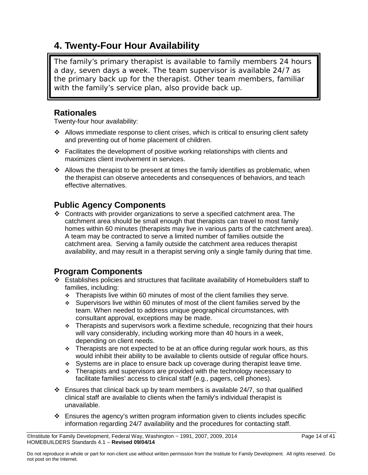### **4. Twenty-Four Hour Availability**

The family's primary therapist is available to family members 24 hours a day, seven days a week. The team supervisor is available 24/7 as the primary back up for the therapist. Other team members, familiar with the family's service plan, also provide back up.

### **Rationales**

Twenty-four hour availability:

- $\cdot$  Allows immediate response to client crises, which is critical to ensuring client safety and preventing out of home placement of children.
- Facilitates the development of positive working relationships with clients and maximizes client involvement in services.
- $\cdot$  Allows the therapist to be present at times the family identifies as problematic, when the therapist can observe antecedents and consequences of behaviors, and teach effective alternatives.

### **Public Agency Components**

 Contracts with provider organizations to serve a specified catchment area. The catchment area should be small enough that therapists can travel to most family homes within 60 minutes (therapists may live in various parts of the catchment area). A team may be contracted to serve a limited number of families outside the catchment area. Serving a family outside the catchment area reduces therapist availability, and may result in a therapist serving only a single family during that time.

### **Program Components**

- $\div$  Establishes policies and structures that facilitate availability of Homebuilders staff to families, including:
	- $\div$  Therapists live within 60 minutes of most of the client families they serve.
	- Supervisors live within 60 minutes of most of the client families served by the team. When needed to address unique geographical circumstances, with consultant approval, exceptions may be made.
	- $\div$  Therapists and supervisors work a flextime schedule, recognizing that their hours will vary considerably, including working more than 40 hours in a week, depending on client needs.
	- $\div$  Therapists are not expected to be at an office during regular work hours, as this would inhibit their ability to be available to clients outside of regular office hours.
	- Systems are in place to ensure back up coverage during therapist leave time.
	- $\div$  Therapists and supervisors are provided with the technology necessary to facilitate families' access to clinical staff (e.g., pagers, cell phones).
- $\div$  Ensures that clinical back up by team members is available 24/7, so that qualified clinical staff are available to clients when the family's individual therapist is unavailable.
- $\div$  Ensures the agency's written program information given to clients includes specific information regarding 24/7 availability and the procedures for contacting staff.

<sup>©</sup>Institute for Family Development, Federal Way, Washington ~ 1991, 2007, 2009, 2014 Page 14 of 41 HOMEBUILDERS Standards 4.1 – **Revised 09/04/14**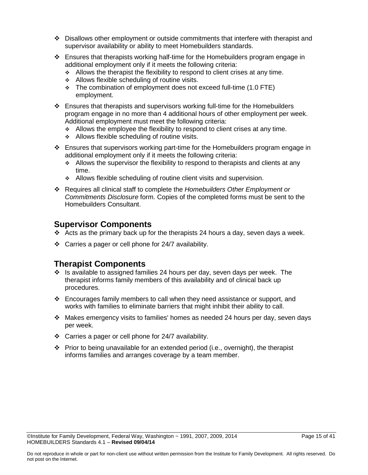- Disallows other employment or outside commitments that interfere with therapist and supervisor availability or ability to meet Homebuilders standards.
- $\div$  Ensures that therapists working half-time for the Homebuilders program engage in additional employment only if it meets the following criteria:
	- $\div$  Allows the therapist the flexibility to respond to client crises at any time.
	- Allows flexible scheduling of routine visits.
	- The combination of employment does not exceed full-time (1.0 FTE) employment.
- Ensures that therapists and supervisors working full-time for the Homebuilders program engage in no more than 4 additional hours of other employment per week. Additional employment must meet the following criteria:
	- $\div$  Allows the employee the flexibility to respond to client crises at any time.
	- Allows flexible scheduling of routine visits.
- Ensures that supervisors working part-time for the Homebuilders program engage in additional employment only if it meets the following criteria:
	- Allows the supervisor the flexibility to respond to therapists and clients at any time.
	- \* Allows flexible scheduling of routine client visits and supervision.
- Requires all clinical staff to complete the *Homebuilders Other Employment or Commitments Disclosure* form. Copies of the completed forms must be sent to the Homebuilders Consultant.

### **Supervisor Components**

- Acts as the primary back up for the therapists 24 hours a day, seven days a week.
- Carries a pager or cell phone for 24/7 availability.

- $\div$  Is available to assigned families 24 hours per day, seven days per week. The therapist informs family members of this availability and of clinical back up procedures.
- Encourages family members to call when they need assistance or support, and works with families to eliminate barriers that might inhibit their ability to call.
- $\cdot \cdot$  Makes emergency visits to families' homes as needed 24 hours per day, seven days per week.
- Carries a pager or cell phone for 24/7 availability.
- Prior to being unavailable for an extended period (i.e., overnight), the therapist informs families and arranges coverage by a team member.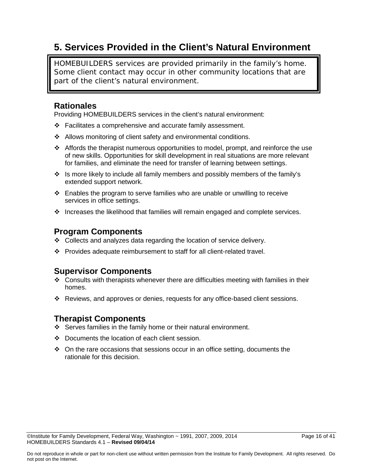### **5. Services Provided in the Client's Natural Environment**

HOMEBUILDERS services are provided primarily in the family's home. Some client contact may occur in other community locations that are part of the client's natural environment.

### **Rationales**

Providing HOMEBUILDERS services in the client's natural environment:

- $\div$  Facilitates a comprehensive and accurate family assessment.
- Allows monitoring of client safety and environmental conditions.
- Affords the therapist numerous opportunities to model, prompt, and reinforce the use of new skills. Opportunities for skill development in real situations are more relevant for families, and eliminate the need for transfer of learning between settings.
- \* Is more likely to include all family members and possibly members of the family's extended support network.
- Enables the program to serve families who are unable or unwilling to receive services in office settings.
- $\cdot \cdot$  Increases the likelihood that families will remain engaged and complete services.

### **Program Components**

- Collects and analyzes data regarding the location of service delivery.
- Provides adequate reimbursement to staff for all client-related travel.

### **Supervisor Components**

- $\div$  Consults with therapists whenever there are difficulties meeting with families in their homes.
- Reviews, and approves or denies, requests for any office-based client sessions.

- Serves families in the family home or their natural environment.
- Documents the location of each client session.
- $\div$  On the rare occasions that sessions occur in an office setting, documents the rationale for this decision.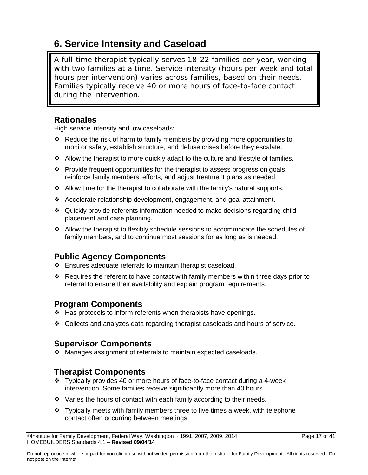### **6. Service Intensity and Caseload**

A full-time therapist typically serves 18-22 families per year, working with two families at a time. Service intensity (hours per week and total hours per intervention) varies across families, based on their needs. Families typically receive 40 or more hours of face-to-face contact during the intervention.

### **Rationales**

High service intensity and low caseloads:

- Reduce the risk of harm to family members by providing more opportunities to monitor safety, establish structure, and defuse crises before they escalate.
- $\div$  Allow the therapist to more quickly adapt to the culture and lifestyle of families.
- $\div$  Provide frequent opportunities for the therapist to assess progress on goals, reinforce family members' efforts, and adjust treatment plans as needed.
- $\div$  Allow time for the therapist to collaborate with the family's natural supports.
- Accelerate relationship development, engagement, and goal attainment.
- Quickly provide referents information needed to make decisions regarding child placement and case planning.
- $\div$  Allow the therapist to flexibly schedule sessions to accommodate the schedules of family members, and to continue most sessions for as long as is needed.

### **Public Agency Components**

- $\div$  Ensures adequate referrals to maintain therapist caseload.
- Requires the referent to have contact with family members within three days prior to referral to ensure their availability and explain program requirements.

### **Program Components**

- ❖ Has protocols to inform referents when therapists have openings.
- Collects and analyzes data regarding therapist caseloads and hours of service.

### **Supervisor Components**

Manages assignment of referrals to maintain expected caseloads.

- Typically provides 40 or more hours of face-to-face contact during a 4-week intervention. Some families receive significantly more than 40 hours.
- $\div$  Varies the hours of contact with each family according to their needs.
- $\div$  Typically meets with family members three to five times a week, with telephone contact often occurring between meetings.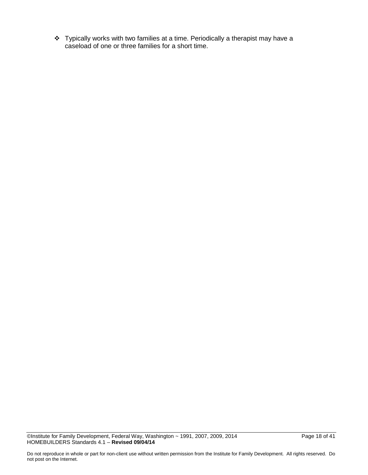Typically works with two families at a time. Periodically a therapist may have a caseload of one or three families for a short time.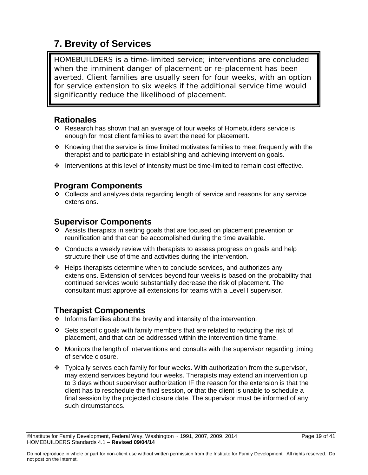### **7. Brevity of Services**

HOMEBUILDERS is a time-limited service; interventions are concluded when the imminent danger of placement or re-placement has been averted. Client families are usually seen for four weeks, with an option for service extension to six weeks if the additional service time would significantly reduce the likelihood of placement.

### **Rationales**

- \* Research has shown that an average of four weeks of Homebuilders service is enough for most client families to avert the need for placement.
- $\cdot$  Knowing that the service is time limited motivates families to meet frequently with the therapist and to participate in establishing and achieving intervention goals.
- $\cdot \cdot$  Interventions at this level of intensity must be time-limited to remain cost effective.

### **Program Components**

 $\div$  Collects and analyzes data regarding length of service and reasons for any service extensions.

### **Supervisor Components**

- Assists therapists in setting goals that are focused on placement prevention or reunification and that can be accomplished during the time available.
- $\div$  Conducts a weekly review with therapists to assess progress on goals and help structure their use of time and activities during the intervention.
- $\div$  Helps therapists determine when to conclude services, and authorizes any extensions. Extension of services beyond four weeks is based on the probability that continued services would substantially decrease the risk of placement. The consultant must approve all extensions for teams with a Level I supervisor.

- $\cdot \cdot$  Informs families about the brevity and intensity of the intervention.
- Sets specific goals with family members that are related to reducing the risk of placement, and that can be addressed within the intervention time frame.
- $\cdot$  Monitors the length of interventions and consults with the supervisor regarding timing of service closure.
- Typically serves each family for four weeks. With authorization from the supervisor, may extend services beyond four weeks. Therapists may extend an intervention up to 3 days without supervisor authorization IF the reason for the extension is that the client has to reschedule the final session, or that the client is unable to schedule a final session by the projected closure date. The supervisor must be informed of any such circumstances.

 $\oslash$  Olnstitute for Family Development, Federal Way, Washington  $\sim$  1991, 2007, 2009, 2014 Page 19 of 41 HOMEBUILDERS Standards 4.1 – **Revised 09/04/14**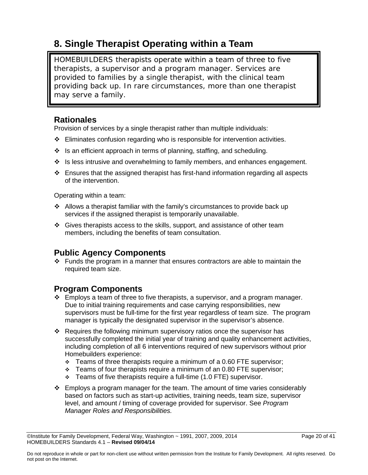## **8. Single Therapist Operating within a Team**

HOMEBUILDERS therapists operate within a team of three to five therapists, a supervisor and a program manager. Services are provided to families by a single therapist, with the clinical team providing back up. In rare circumstances, more than one therapist may serve a family.

### **Rationales**

Provision of services by a single therapist rather than multiple individuals:

- $\div$  Eliminates confusion regarding who is responsible for intervention activities.
- $\cdot \cdot$  Is an efficient approach in terms of planning, staffing, and scheduling.
- $\cdot \cdot$  Is less intrusive and overwhelming to family members, and enhances engagement.
- $\div$  Ensures that the assigned therapist has first-hand information regarding all aspects of the intervention.

Operating within a team:

- $\cdot$  Allows a therapist familiar with the family's circumstances to provide back up services if the assigned therapist is temporarily unavailable.
- $\div$  Gives therapists access to the skills, support, and assistance of other team members, including the benefits of team consultation.

### **Public Agency Components**

 $\cdot \cdot$  Funds the program in a manner that ensures contractors are able to maintain the required team size.

### **Program Components**

- $\div$  Employs a team of three to five therapists, a supervisor, and a program manager. Due to initial training requirements and case carrying responsibilities, new supervisors must be full-time for the first year regardless of team size. The program manager is typically the designated supervisor in the supervisor's absence.
- \* Requires the following minimum supervisory ratios once the supervisor has successfully completed the initial year of training and quality enhancement activities, including completion of all 6 interventions required of new supervisors without prior Homebuilders experience:
	- $\div$  Teams of three therapists require a minimum of a 0.60 FTE supervisor;
	- $\div$  Teams of four therapists require a minimum of an 0.80 FTE supervisor;
	- $\div$  Teams of five therapists require a full-time (1.0 FTE) supervisor.
- $\div$  Employs a program manager for the team. The amount of time varies considerably based on factors such as start-up activities, training needs, team size, supervisor level, and amount / timing of coverage provided for supervisor. See *Program Manager Roles and Responsibilities.*

 $\heartsuit$ Institute for Family Development, Federal Way, Washington  $\sim$  1991, 2007, 2009, 2014 Page 20 of 41 HOMEBUILDERS Standards 4.1 – **Revised 09/04/14**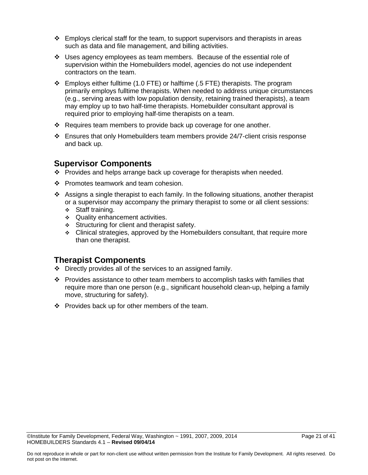- $\div$  Employs clerical staff for the team, to support supervisors and therapists in areas such as data and file management, and billing activities.
- $\cdot \cdot$  Uses agency employees as team members. Because of the essential role of supervision within the Homebuilders model, agencies do not use independent contractors on the team.
- $\div$  Employs either fulltime (1.0 FTE) or halftime (.5 FTE) therapists. The program primarily employs fulltime therapists. When needed to address unique circumstances (e.g., serving areas with low population density, retaining trained therapists), a team may employ up to two half-time therapists. Homebuilder consultant approval is required prior to employing half-time therapists on a team.
- $\div$  Requires team members to provide back up coverage for one another.
- $\div$  Ensures that only Homebuilders team members provide 24/7-client crisis response and back up.

### **Supervisor Components**

- Provides and helps arrange back up coverage for therapists when needed.
- ❖ Promotes teamwork and team cohesion.
- Assigns a single therapist to each family. In the following situations, another therapist or a supervisor may accompany the primary therapist to some or all client sessions:
	- Staff training.
	- Quality enhancement activities.
	- Structuring for client and therapist safety.
	- $\div$  Clinical strategies, approved by the Homebuilders consultant, that require more than one therapist.

- $\div$  Directly provides all of the services to an assigned family.
- Provides assistance to other team members to accomplish tasks with families that require more than one person (e.g., significant household clean-up, helping a family move, structuring for safety).
- $\div$  Provides back up for other members of the team.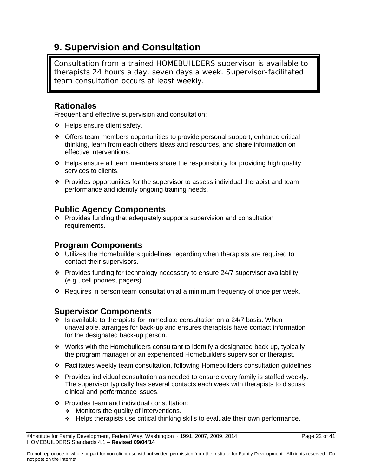### **9. Supervision and Consultation**

Consultation from a trained HOMEBUILDERS supervisor is available to therapists 24 hours a day, seven days a week. Supervisor-facilitated team consultation occurs at least weekly.

### **Rationales**

Frequent and effective supervision and consultation:

- Helps ensure client safety.
- Offers team members opportunities to provide personal support, enhance critical thinking, learn from each others ideas and resources, and share information on effective interventions.
- $\div$  Helps ensure all team members share the responsibility for providing high quality services to clients.
- $\cdot \cdot$  Provides opportunities for the supervisor to assess individual therapist and team performance and identify ongoing training needs.

### **Public Agency Components**

 Provides funding that adequately supports supervision and consultation requirements.

### **Program Components**

- Utilizes the Homebuilders guidelines regarding when therapists are required to contact their supervisors.
- \* Provides funding for technology necessary to ensure 24/7 supervisor availability (e.g., cell phones, pagers).
- Requires in person team consultation at a minimum frequency of once per week.

### **Supervisor Components**

- $\cdot \cdot$  Is available to therapists for immediate consultation on a 24/7 basis. When unavailable, arranges for back-up and ensures therapists have contact information for the designated back-up person.
- $\div$  Works with the Homebuilders consultant to identify a designated back up, typically the program manager or an experienced Homebuilders supervisor or therapist.
- Facilitates weekly team consultation, following Homebuilders consultation guidelines.
- $\cdot \cdot$  Provides individual consultation as needed to ensure every family is staffed weekly. The supervisor typically has several contacts each week with therapists to discuss clinical and performance issues.
- ❖ Provides team and individual consultation:
	- **Monitors the quality of interventions.**
	- $\div$  Helps therapists use critical thinking skills to evaluate their own performance.

 $\oslash$  Olnstitute for Family Development, Federal Way, Washington  $\sim$  1991, 2007, 2009, 2014 Page 22 of 41 HOMEBUILDERS Standards 4.1 – **Revised 09/04/14**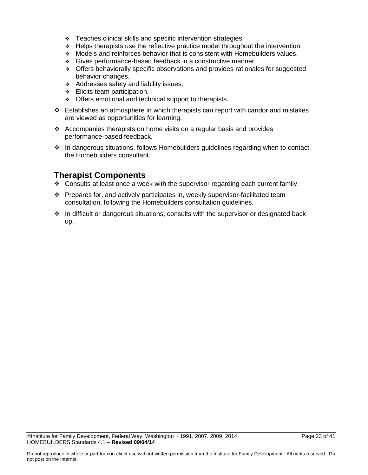- **Teaches clinical skills and specific intervention strategies.**
- $\div$  Helps therapists use the reflective practice model throughout the intervention.
- Models and reinforces behavior that is consistent with Homebuilders values.
- Gives performance-based feedback in a constructive manner.
- Offers behaviorally specific observations and provides rationales for suggested behavior changes.
- Addresses safety and liability issues.
- Elicits team participation.
- Offers emotional and technical support to therapists.
- $\div$  Establishes an atmosphere in which therapists can report with candor and mistakes are viewed as opportunities for learning.
- $\triangleleft$  Accompanies therapists on home visits on a regular basis and provides performance-based feedback.
- In dangerous situations, follows Homebuilders guidelines regarding when to contact the Homebuilders consultant.

- $\div$  Consults at least once a week with the supervisor regarding each current family.
- $\div$  Prepares for, and actively participates in, weekly supervisor-facilitated team consultation, following the Homebuilders consultation guidelines.
- $\div$  In difficult or dangerous situations, consults with the supervisor or designated back up.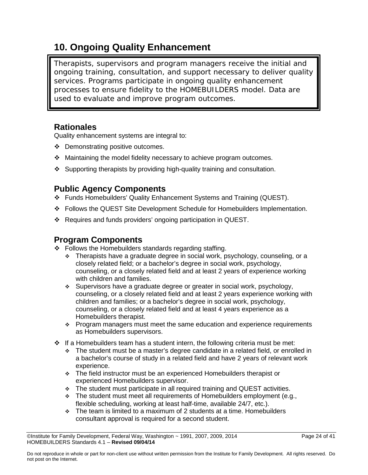### **10. Ongoing Quality Enhancement**

Therapists, supervisors and program managers receive the initial and ongoing training, consultation, and support necessary to deliver quality services. Programs participate in ongoing quality enhancement processes to ensure fidelity to the HOMEBUILDERS model. Data are used to evaluate and improve program outcomes.

### **Rationales**

Quality enhancement systems are integral to:

- Demonstrating positive outcomes.
- Maintaining the model fidelity necessary to achieve program outcomes.
- $\div$  Supporting therapists by providing high-quality training and consultation.

### **Public Agency Components**

- Funds Homebuilders' Quality Enhancement Systems and Training (QUEST).
- Follows the QUEST Site Development Schedule for Homebuilders Implementation.
- $\cdot$  Requires and funds providers' ongoing participation in QUEST.

### **Program Components**

- ❖ Follows the Homebuilders standards regarding staffing.
	- $\div$  Therapists have a graduate degree in social work, psychology, counseling, or a closely related field; or a bachelor's degree in social work, psychology, counseling, or a closely related field and at least 2 years of experience working with children and families.
	- Supervisors have a graduate degree or greater in social work, psychology, counseling, or a closely related field and at least 2 years experience working with children and families; or a bachelor's degree in social work, psychology, counseling, or a closely related field and at least 4 years experience as a Homebuilders therapist.
	- $\div$  Program managers must meet the same education and experience requirements as Homebuilders supervisors.
- $\div$  If a Homebuilders team has a student intern, the following criteria must be met:
	- The student must be a master's degree candidate in a related field, or enrolled in a bachelor's course of study in a related field and have 2 years of relevant work experience.
	- \* The field instructor must be an experienced Homebuilders therapist or experienced Homebuilders supervisor.
	- The student must participate in all required training and QUEST activities.
	- \* The student must meet all requirements of Homebuilders employment (e.g., flexible scheduling, working at least half-time, available 24/7, etc.).
	- $\div$  The team is limited to a maximum of 2 students at a time. Homebuilders consultant approval is required for a second student.

<sup>©</sup>Institute for Family Development, Federal Way, Washington ~ 1991, 2007, 2009, 2014 Page 24 of 41 HOMEBUILDERS Standards 4.1 – **Revised 09/04/14**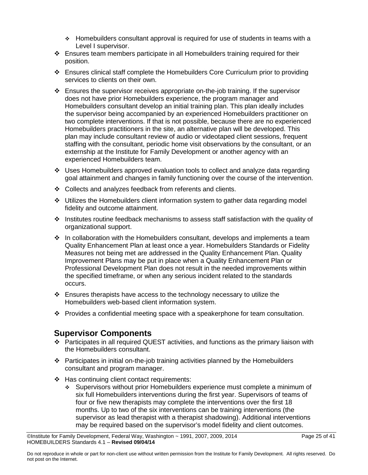- Homebuilders consultant approval is required for use of students in teams with a Level I supervisor.
- Ensures team members participate in all Homebuilders training required for their position.
- Ensures clinical staff complete the Homebuilders Core Curriculum prior to providing services to clients on their own.
- $\div$  Ensures the supervisor receives appropriate on-the-job training. If the supervisor does not have prior Homebuilders experience, the program manager and Homebuilders consultant develop an initial training plan. This plan ideally includes the supervisor being accompanied by an experienced Homebuilders practitioner on two complete interventions. If that is not possible, because there are no experienced Homebuilders practitioners in the site, an alternative plan will be developed. This plan may include consultant review of audio or videotaped client sessions, frequent staffing with the consultant, periodic home visit observations by the consultant, or an externship at the Institute for Family Development or another agency with an experienced Homebuilders team.
- Uses Homebuilders approved evaluation tools to collect and analyze data regarding goal attainment and changes in family functioning over the course of the intervention.
- Collects and analyzes feedback from referents and clients.
- $\div$  Utilizes the Homebuilders client information system to gather data regarding model fidelity and outcome attainment.
- $\cdot \cdot$  Institutes routine feedback mechanisms to assess staff satisfaction with the quality of organizational support.
- $\cdot \cdot$  In collaboration with the Homebuilders consultant, develops and implements a team Quality Enhancement Plan at least once a year. Homebuilders Standards or Fidelity Measures not being met are addressed in the Quality Enhancement Plan. Quality Improvement Plans may be put in place when a Quality Enhancement Plan or Professional Development Plan does not result in the needed improvements within the specified timeframe, or when any serious incident related to the standards occurs.
- $\cdot \cdot$  Ensures therapists have access to the technology necessary to utilize the Homebuilders web-based client information system.
- \* Provides a confidential meeting space with a speakerphone for team consultation.

### **Supervisor Components**

- Participates in all required QUEST activities, and functions as the primary liaison with the Homebuilders consultant.
- $\div$  Participates in initial on-the-job training activities planned by the Homebuilders consultant and program manager.
- Has continuing client contact requirements:
	- Supervisors without prior Homebuilders experience must complete a minimum of six full Homebuilders interventions during the first year. Supervisors of teams of four or five new therapists may complete the interventions over the first 18 months. Up to two of the six interventions can be training interventions (the supervisor as lead therapist with a therapist shadowing). Additional interventions may be required based on the supervisor's model fidelity and client outcomes.

 $\heartsuit$ Institute for Family Development, Federal Way, Washington  $\sim$  1991, 2007, 2009, 2014 Page 25 of 41 HOMEBUILDERS Standards 4.1 – **Revised 09/04/14**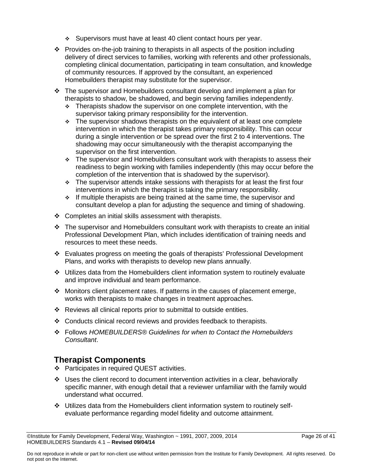- Supervisors must have at least 40 client contact hours per year.
- Provides on-the-job training to therapists in all aspects of the position including delivery of direct services to families, working with referents and other professionals, completing clinical documentation, participating in team consultation, and knowledge of community resources. If approved by the consultant, an experienced Homebuilders therapist may substitute for the supervisor.
- $\cdot \cdot$  The supervisor and Homebuilders consultant develop and implement a plan for therapists to shadow, be shadowed, and begin serving families independently.
	- $\div$  Therapists shadow the supervisor on one complete intervention, with the supervisor taking primary responsibility for the intervention.
	- $\div$  The supervisor shadows therapists on the equivalent of at least one complete intervention in which the therapist takes primary responsibility. This can occur during a single intervention or be spread over the first 2 to 4 interventions. The shadowing may occur simultaneously with the therapist accompanying the supervisor on the first intervention.
	- $\div$  The supervisor and Homebuilders consultant work with therapists to assess their readiness to begin working with families independently (this may occur before the completion of the intervention that is shadowed by the supervisor).
	- $\cdot$  The supervisor attends intake sessions with therapists for at least the first four interventions in which the therapist is taking the primary responsibility.
	- $\cdot$  If multiple therapists are being trained at the same time, the supervisor and consultant develop a plan for adjusting the sequence and timing of shadowing.
- ❖ Completes an initial skills assessment with therapists.
- $\cdot \cdot$  The supervisor and Homebuilders consultant work with therapists to create an initial Professional Development Plan, which includes identification of training needs and resources to meet these needs.
- Evaluates progress on meeting the goals of therapists' Professional Development Plans, and works with therapists to develop new plans annually.
- $\div$  Utilizes data from the Homebuilders client information system to routinely evaluate and improve individual and team performance.
- Monitors client placement rates. If patterns in the causes of placement emerge, works with therapists to make changes in treatment approaches.
- Reviews all clinical reports prior to submittal to outside entities.
- $\div$  Conducts clinical record reviews and provides feedback to therapists.
- Follows *HOMEBUILDERS® Guidelines for when to Contact the Homebuilders Consultant*.

- ❖ Participates in required QUEST activities.
- $\cdot \cdot$  Uses the client record to document intervention activities in a clear, behaviorally specific manner, with enough detail that a reviewer unfamiliar with the family would understand what occurred.
- Utilizes data from the Homebuilders client information system to routinely selfevaluate performance regarding model fidelity and outcome attainment.

<sup>©</sup>Institute for Family Development, Federal Way, Washington ~ 1991, 2007, 2009, 2014 Page 26 of 41 HOMEBUILDERS Standards 4.1 – **Revised 09/04/14**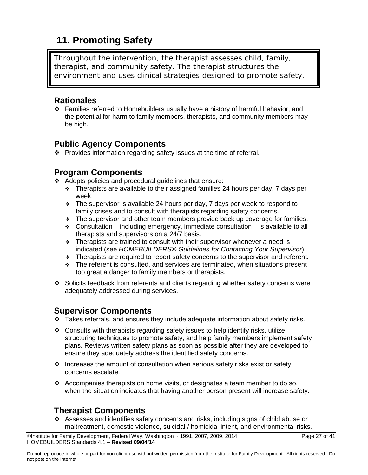### **11. Promoting Safety**

Throughout the intervention, the therapist assesses child, family, therapist, and community safety. The therapist structures the environment and uses clinical strategies designed to promote safety.

### **Rationales**

 Families referred to Homebuilders usually have a history of harmful behavior, and the potential for harm to family members, therapists, and community members may be high.

### **Public Agency Components**

Provides information regarding safety issues at the time of referral.

### **Program Components**

- $\div$  Adopts policies and procedural guidelines that ensure:
	- $\div$  Therapists are available to their assigned families 24 hours per day, 7 days per week.
	- $\cdot$  The supervisor is available 24 hours per day, 7 days per week to respond to family crises and to consult with therapists regarding safety concerns.
	- \* The supervisor and other team members provide back up coverage for families.
	- $\div$  Consultation including emergency, immediate consultation is available to all therapists and supervisors on a 24/7 basis.
	- $\cdot$  Therapists are trained to consult with their supervisor whenever a need is indicated (see *HOMEBUILDERS® Guidelines for Contacting Your Supervisor*).
	- \* Therapists are required to report safety concerns to the supervisor and referent.
	- $\div$  The referent is consulted, and services are terminated, when situations present too great a danger to family members or therapists.
- Solicits feedback from referents and clients regarding whether safety concerns were adequately addressed during services.

### **Supervisor Components**

- $\div$  Takes referrals, and ensures they include adequate information about safety risks.
- $\div$  Consults with therapists regarding safety issues to help identify risks, utilize structuring techniques to promote safety, and help family members implement safety plans. Reviews written safety plans as soon as possible after they are developed to ensure they adequately address the identified safety concerns.
- $\div$  Increases the amount of consultation when serious safety risks exist or safety concerns escalate.
- Accompanies therapists on home visits, or designates a team member to do so, when the situation indicates that having another person present will increase safety.

### **Therapist Components**

 Assesses and identifies safety concerns and risks, including signs of child abuse or maltreatment, domestic violence, suicidal / homicidal intent, and environmental risks.

<sup>©</sup>Institute for Family Development, Federal Way, Washington ~ 1991, 2007, 2009, 2014 Page 27 of 41 HOMEBUILDERS Standards 4.1 – **Revised 09/04/14**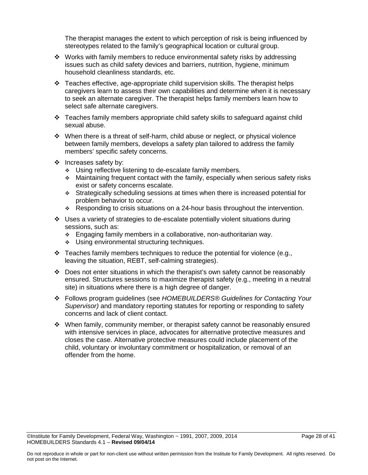The therapist manages the extent to which perception of risk is being influenced by stereotypes related to the family's geographical location or cultural group.

- $\cdot \cdot$  Works with family members to reduce environmental safety risks by addressing issues such as child safety devices and barriers, nutrition, hygiene, minimum household cleanliness standards, etc.
- $\div$  Teaches effective, age-appropriate child supervision skills. The therapist helps caregivers learn to assess their own capabilities and determine when it is necessary to seek an alternate caregiver. The therapist helps family members learn how to select safe alternate caregivers.
- \* Teaches family members appropriate child safety skills to safeguard against child sexual abuse.
- $\cdot \cdot$  When there is a threat of self-harm, child abuse or neglect, or physical violence between family members, develops a safety plan tailored to address the family members' specific safety concerns.
- ❖ Increases safety by:
	- Using reflective listening to de-escalate family members.
	- $\div$  Maintaining frequent contact with the family, especially when serious safety risks exist or safety concerns escalate.
	- Strategically scheduling sessions at times when there is increased potential for problem behavior to occur.
	- \* Responding to crisis situations on a 24-hour basis throughout the intervention.
- Uses a variety of strategies to de-escalate potentially violent situations during sessions, such as:
	- **Engaging family members in a collaborative, non-authoritarian way.**
	- ◆ Using environmental structuring techniques.
- $\div$  Teaches family members techniques to reduce the potential for violence (e.g., leaving the situation, REBT, self-calming strategies).
- $\div$  Does not enter situations in which the therapist's own safety cannot be reasonably ensured. Structures sessions to maximize therapist safety (e.g., meeting in a neutral site) in situations where there is a high degree of danger.
- Follows program guidelines (see *HOMEBUILDERS® Guidelines for Contacting Your Supervisor)* and mandatory reporting statutes for reporting or responding to safety concerns and lack of client contact.
- When family, community member, or therapist safety cannot be reasonably ensured with intensive services in place, advocates for alternative protective measures and closes the case. Alternative protective measures could include placement of the child, voluntary or involuntary commitment or hospitalization, or removal of an offender from the home.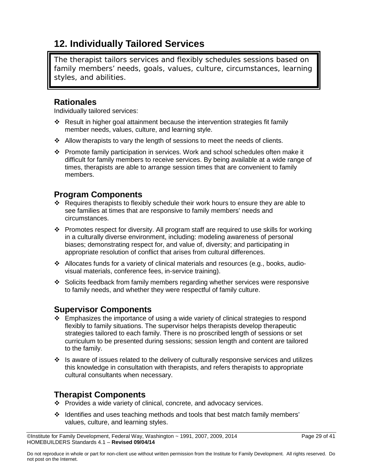### **12. Individually Tailored Services**

The therapist tailors services and flexibly schedules sessions based on family members' needs, goals, values, culture, circumstances, learning styles, and abilities.

### **Rationales**

Individually tailored services:

- \* Result in higher goal attainment because the intervention strategies fit family member needs, values, culture, and learning style.
- $\div$  Allow therapists to vary the length of sessions to meet the needs of clients.
- Promote family participation in services. Work and school schedules often make it difficult for family members to receive services. By being available at a wide range of times, therapists are able to arrange session times that are convenient to family members.

### **Program Components**

- Requires therapists to flexibly schedule their work hours to ensure they are able to see families at times that are responsive to family members' needs and circumstances.
- $\cdot \cdot$  Promotes respect for diversity. All program staff are required to use skills for working in a culturally diverse environment, including: modeling awareness of personal biases; demonstrating respect for, and value of, diversity; and participating in appropriate resolution of conflict that arises from cultural differences.
- $\div$  Allocates funds for a variety of clinical materials and resources (e.g., books, audiovisual materials, conference fees, in-service training).
- Solicits feedback from family members regarding whether services were responsive to family needs, and whether they were respectful of family culture.

### **Supervisor Components**

- $\div$  Emphasizes the importance of using a wide variety of clinical strategies to respond flexibly to family situations. The supervisor helps therapists develop therapeutic strategies tailored to each family. There is no proscribed length of sessions or set curriculum to be presented during sessions; session length and content are tailored to the family.
- $\cdot \cdot$  Is aware of issues related to the delivery of culturally responsive services and utilizes this knowledge in consultation with therapists, and refers therapists to appropriate cultural consultants when necessary.

- Provides a wide variety of clinical, concrete, and advocacy services.
- $\div$  Identifies and uses teaching methods and tools that best match family members' values, culture, and learning styles.

<sup>©</sup>Institute for Family Development, Federal Way, Washington ~ 1991, 2007, 2009, 2014 Page 29 of 41 HOMEBUILDERS Standards 4.1 – **Revised 09/04/14**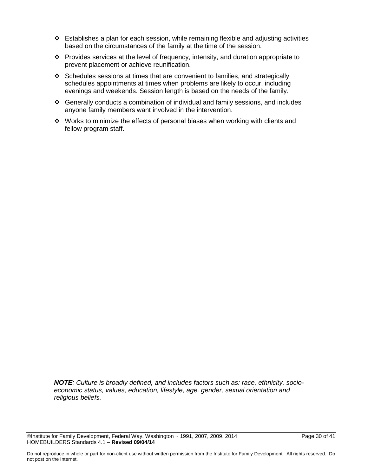- $\div$  Establishes a plan for each session, while remaining flexible and adjusting activities based on the circumstances of the family at the time of the session.
- \* Provides services at the level of frequency, intensity, and duration appropriate to prevent placement or achieve reunification.
- $\div$  Schedules sessions at times that are convenient to families, and strategically schedules appointments at times when problems are likely to occur, including evenings and weekends. Session length is based on the needs of the family.
- Generally conducts a combination of individual and family sessions, and includes anyone family members want involved in the intervention.
- \* Works to minimize the effects of personal biases when working with clients and fellow program staff.

*NOTE: Culture is broadly defined, and includes factors such as: race, ethnicity, socioeconomic status, values, education, lifestyle, age, gender, sexual orientation and religious beliefs.*

 $\heartsuit$ Institute for Family Development, Federal Way, Washington  $\sim$  1991, 2007, 2009, 2014 Page 30 of 41 HOMEBUILDERS Standards 4.1 – **Revised 09/04/14**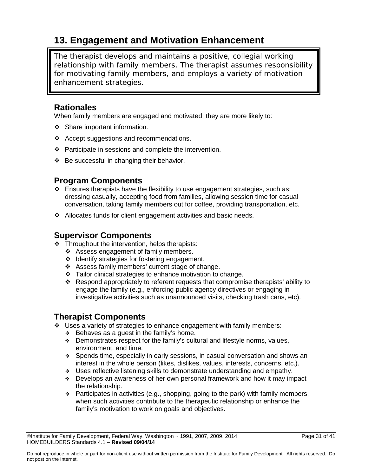### **13. Engagement and Motivation Enhancement**

The therapist develops and maintains a positive, collegial working relationship with family members. The therapist assumes responsibility for motivating family members, and employs a variety of motivation enhancement strategies.

### **Rationales**

When family members are engaged and motivated, they are more likely to:

- ❖ Share important information.
- \* Accept suggestions and recommendations.
- ❖ Participate in sessions and complete the intervention.
- $\div$  Be successful in changing their behavior.

### **Program Components**

- $\div$  Ensures therapists have the flexibility to use engagement strategies, such as: dressing casually, accepting food from families, allowing session time for casual conversation, taking family members out for coffee, providing transportation, etc.
- Allocates funds for client engagement activities and basic needs.

### **Supervisor Components**

- $\div$  Throughout the intervention, helps therapists:
	- Assess engagement of family members.
	- ❖ Identify strategies for fostering engagement.
	- Assess family members' current stage of change.
	- \* Tailor clinical strategies to enhance motivation to change.
	- Respond appropriately to referent requests that compromise therapists' ability to engage the family (e.g., enforcing public agency directives or engaging in investigative activities such as unannounced visits, checking trash cans, etc).

- $\div$  Uses a variety of strategies to enhance engagement with family members:
	- $\div$  Behaves as a guest in the family's home.
	- $\div$  Demonstrates respect for the family's cultural and lifestyle norms, values, environment, and time.
	- Spends time, especially in early sessions, in casual conversation and shows an interest in the whole person (likes, dislikes, values, interests, concerns, etc.).
	- \* Uses reflective listening skills to demonstrate understanding and empathy.
	- Develops an awareness of her own personal framework and how it may impact the relationship.
	- $\div$  Participates in activities (e.g., shopping, going to the park) with family members, when such activities contribute to the therapeutic relationship or enhance the family's motivation to work on goals and objectives.

 $\oslash$  Olnstitute for Family Development, Federal Way, Washington  $\sim$  1991, 2007, 2009, 2014 Page 31 of 41 HOMEBUILDERS Standards 4.1 – **Revised 09/04/14**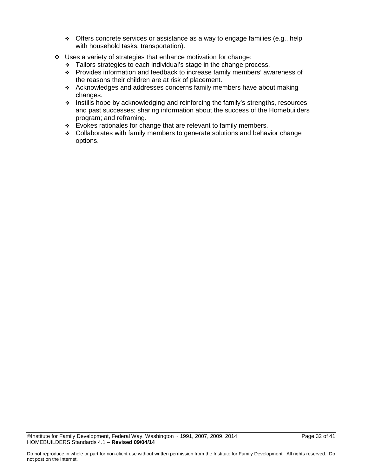- Offers concrete services or assistance as a way to engage families (e.g., help with household tasks, transportation).
- Uses a variety of strategies that enhance motivation for change:
	- \* Tailors strategies to each individual's stage in the change process.
	- \* Provides information and feedback to increase family members' awareness of the reasons their children are at risk of placement.
	- Acknowledges and addresses concerns family members have about making changes.
	- $\div$  Instills hope by acknowledging and reinforcing the family's strengths, resources and past successes; sharing information about the success of the Homebuilders program; and reframing.
	- \* Evokes rationales for change that are relevant to family members.
	- $\div$  Collaborates with family members to generate solutions and behavior change options.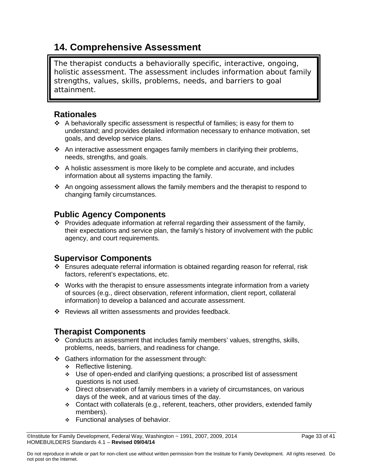### **14. Comprehensive Assessment**

The therapist conducts a behaviorally specific, interactive, ongoing, holistic assessment. The assessment includes information about family strengths, values, skills, problems, needs, and barriers to goal attainment.

### **Rationales**

- $\div$  A behaviorally specific assessment is respectful of families; is easy for them to understand; and provides detailed information necessary to enhance motivation, set goals, and develop service plans.
- An interactive assessment engages family members in clarifying their problems, needs, strengths, and goals.
- A holistic assessment is more likely to be complete and accurate, and includes information about all systems impacting the family.
- $\cdot$  An ongoing assessment allows the family members and the therapist to respond to changing family circumstances.

### **Public Agency Components**

\* Provides adequate information at referral regarding their assessment of the family, their expectations and service plan, the family's history of involvement with the public agency, and court requirements.

### **Supervisor Components**

- $\div$  Ensures adequate referral information is obtained regarding reason for referral, risk factors, referent's expectations, etc.
- $\cdot$  Works with the therapist to ensure assessments integrate information from a variety of sources (e.g., direct observation, referent information, client report, collateral information) to develop a balanced and accurate assessment.
- ❖ Reviews all written assessments and provides feedback.

- Conducts an assessment that includes family members' values, strengths, skills, problems, needs, barriers, and readiness for change.
- ❖ Gathers information for the assessment through:
	- $\div$  Reflective listening.
	- Use of open-ended and clarifying questions; a proscribed list of assessment questions is not used.
	- Direct observation of family members in a variety of circumstances, on various days of the week, and at various times of the day.
	- Contact with collaterals (e.g., referent, teachers, other providers, extended family members).
	- Functional analyses of behavior.

 $\oslash$  Olnstitute for Family Development, Federal Way, Washington  $\sim$  1991, 2007, 2009, 2014 Page 33 of 41 HOMEBUILDERS Standards 4.1 – **Revised 09/04/14**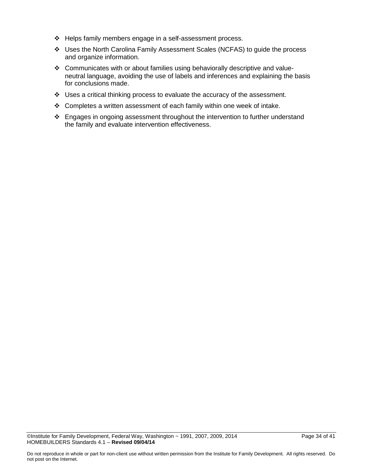- Helps family members engage in a self-assessment process.
- Uses the North Carolina Family Assessment Scales (NCFAS) to guide the process and organize information.
- \* Communicates with or about families using behaviorally descriptive and valueneutral language, avoiding the use of labels and inferences and explaining the basis for conclusions made.
- Uses a critical thinking process to evaluate the accuracy of the assessment.
- Completes a written assessment of each family within one week of intake.
- Engages in ongoing assessment throughout the intervention to further understand the family and evaluate intervention effectiveness.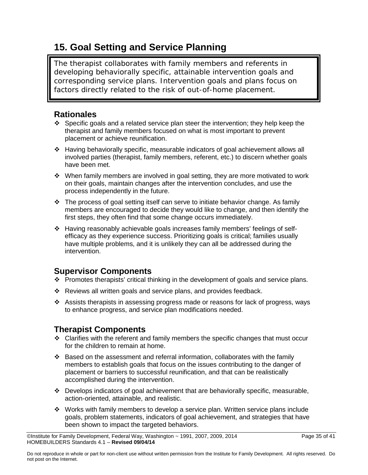### **15. Goal Setting and Service Planning**

The therapist collaborates with family members and referents in developing behaviorally specific, attainable intervention goals and corresponding service plans. Intervention goals and plans focus on factors directly related to the risk of out-of-home placement.

### **Rationales**

- $\div$  Specific goals and a related service plan steer the intervention; they help keep the therapist and family members focused on what is most important to prevent placement or achieve reunification.
- Having behaviorally specific, measurable indicators of goal achievement allows all involved parties (therapist, family members, referent, etc.) to discern whether goals have been met.
- $\cdot \cdot$  When family members are involved in goal setting, they are more motivated to work on their goals, maintain changes after the intervention concludes, and use the process independently in the future.
- $\div$  The process of goal setting itself can serve to initiate behavior change. As family members are encouraged to decide they would like to change, and then identify the first steps, they often find that some change occurs immediately.
- Having reasonably achievable goals increases family members' feelings of selfefficacy as they experience success. Prioritizing goals is critical; families usually have multiple problems, and it is unlikely they can all be addressed during the intervention.

### **Supervisor Components**

- $\cdot \cdot$  Promotes therapists' critical thinking in the development of goals and service plans.
- Reviews all written goals and service plans, and provides feedback.
- Assists therapists in assessing progress made or reasons for lack of progress, ways to enhance progress, and service plan modifications needed.

- $\div$  Clarifies with the referent and family members the specific changes that must occur for the children to remain at home.
- $\div$  Based on the assessment and referral information, collaborates with the family members to establish goals that focus on the issues contributing to the danger of placement or barriers to successful reunification, and that can be realistically accomplished during the intervention.
- $\div$  Develops indicators of goal achievement that are behaviorally specific, measurable, action-oriented, attainable, and realistic.
- Works with family members to develop a service plan. Written service plans include goals, problem statements, indicators of goal achievement, and strategies that have been shown to impact the targeted behaviors.

 $\heartsuit$ Institute for Family Development, Federal Way, Washington  $\sim$  1991, 2007, 2009, 2014 Page 35 of 41 HOMEBUILDERS Standards 4.1 – **Revised 09/04/14**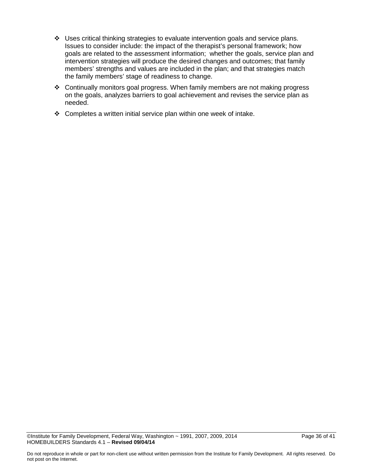- Uses critical thinking strategies to evaluate intervention goals and service plans. Issues to consider include: the impact of the therapist's personal framework; how goals are related to the assessment information; whether the goals, service plan and intervention strategies will produce the desired changes and outcomes; that family members' strengths and values are included in the plan; and that strategies match the family members' stage of readiness to change.
- Continually monitors goal progress. When family members are not making progress on the goals, analyzes barriers to goal achievement and revises the service plan as needed.
- $\div$  Completes a written initial service plan within one week of intake.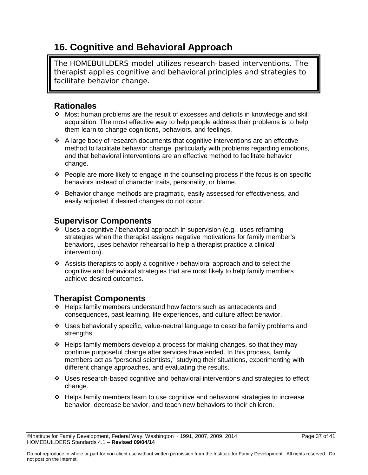### **16. Cognitive and Behavioral Approach**

The HOMEBUILDERS model utilizes research-based interventions. The therapist applies cognitive and behavioral principles and strategies to facilitate behavior change.

### **Rationales**

- Most human problems are the result of excesses and deficits in knowledge and skill acquisition. The most effective way to help people address their problems is to help them learn to change cognitions, behaviors, and feelings.
- A large body of research documents that cognitive interventions are an effective method to facilitate behavior change, particularly with problems regarding emotions, and that behavioral interventions are an effective method to facilitate behavior change.
- $\div$  People are more likely to engage in the counseling process if the focus is on specific behaviors instead of character traits, personality, or blame.
- Behavior change methods are pragmatic, easily assessed for effectiveness, and easily adjusted if desired changes do not occur.

### **Supervisor Components**

- $\cdot \cdot$  Uses a cognitive / behavioral approach in supervision (e.g., uses reframing strategies when the therapist assigns negative motivations for family member's behaviors, uses behavior rehearsal to help a therapist practice a clinical intervention).
- Assists therapists to apply a cognitive / behavioral approach and to select the cognitive and behavioral strategies that are most likely to help family members achieve desired outcomes.

- Helps family members understand how factors such as antecedents and consequences, past learning, life experiences, and culture affect behavior.
- Uses behaviorally specific, value-neutral language to describe family problems and strengths.
- $\div$  Helps family members develop a process for making changes, so that they may continue purposeful change after services have ended. In this process, family members act as "personal scientists," studying their situations, experimenting with different change approaches, and evaluating the results.
- Uses research-based cognitive and behavioral interventions and strategies to effect change.
- Helps family members learn to use cognitive and behavioral strategies to increase behavior, decrease behavior, and teach new behaviors to their children.

 $\oslash$  Olnstitute for Family Development, Federal Way, Washington  $\sim$  1991, 2007, 2009, 2014 Page 37 of 41 HOMEBUILDERS Standards 4.1 – **Revised 09/04/14**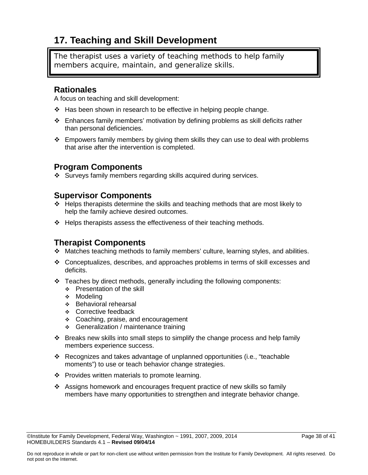### **17. Teaching and Skill Development**

The therapist uses a variety of teaching methods to help family members acquire, maintain, and generalize skills.

### **Rationales**

A focus on teaching and skill development:

- $\div$  Has been shown in research to be effective in helping people change.
- Enhances family members' motivation by defining problems as skill deficits rather than personal deficiencies.
- $\div$  Empowers family members by giving them skills they can use to deal with problems that arise after the intervention is completed.

### **Program Components**

Surveys family members regarding skills acquired during services.

### **Supervisor Components**

- $\div$  Helps therapists determine the skills and teaching methods that are most likely to help the family achieve desired outcomes.
- $\div$  Helps therapists assess the effectiveness of their teaching methods.

- Matches teaching methods to family members' culture, learning styles, and abilities.
- Conceptualizes, describes, and approaches problems in terms of skill excesses and deficits.
- $\div$  Teaches by direct methods, generally including the following components:
	- ❖ Presentation of the skill
	- ❖ Modeling
	- Behavioral rehearsal
	- Corrective feedback
	- ❖ Coaching, praise, and encouragement
	- ◆ Generalization / maintenance training
- $\cdot \cdot$  Breaks new skills into small steps to simplify the change process and help family members experience success.
- Recognizes and takes advantage of unplanned opportunities (i.e., "teachable" moments") to use or teach behavior change strategies.
- ❖ Provides written materials to promote learning.
- Assigns homework and encourages frequent practice of new skills so family members have many opportunities to strengthen and integrate behavior change.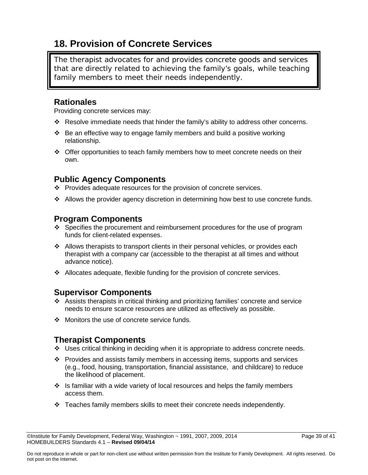### **18. Provision of Concrete Services**

The therapist advocates for and provides concrete goods and services that are directly related to achieving the family's goals, while teaching family members to meet their needs independently.

### **Rationales**

Providing concrete services may:

- Resolve immediate needs that hinder the family's ability to address other concerns.
- $\div$  Be an effective way to engage family members and build a positive working relationship.
- Offer opportunities to teach family members how to meet concrete needs on their own.

### **Public Agency Components**

- \* Provides adequate resources for the provision of concrete services.
- $\div$  Allows the provider agency discretion in determining how best to use concrete funds.

### **Program Components**

- \* Specifies the procurement and reimbursement procedures for the use of program funds for client-related expenses.
- $\div$  Allows therapists to transport clients in their personal vehicles, or provides each therapist with a company car (accessible to the therapist at all times and without advance notice).
- Allocates adequate, flexible funding for the provision of concrete services.

### **Supervisor Components**

- Assists therapists in critical thinking and prioritizing families' concrete and service needs to ensure scarce resources are utilized as effectively as possible.
- ❖ Monitors the use of concrete service funds.

- Uses critical thinking in deciding when it is appropriate to address concrete needs.
- Provides and assists family members in accessing items, supports and services (e.g., food, housing, transportation, financial assistance, and childcare) to reduce the likelihood of placement.
- $\div$  Is familiar with a wide variety of local resources and helps the family members access them.
- $\div$  Teaches family members skills to meet their concrete needs independently.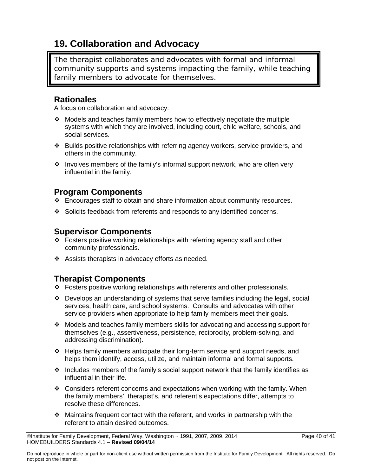## **19. Collaboration and Advocacy**

The therapist collaborates and advocates with formal and informal community supports and systems impacting the family, while teaching family members to advocate for themselves.

### **Rationales**

A focus on collaboration and advocacy:

- Models and teaches family members how to effectively negotiate the multiple systems with which they are involved, including court, child welfare, schools, and social services.
- $\cdot \cdot$  Builds positive relationships with referring agency workers, service providers, and others in the community.
- $\cdot \cdot$  Involves members of the family's informal support network, who are often very influential in the family.

### **Program Components**

- $\div$  Encourages staff to obtain and share information about community resources.
- Solicits feedback from referents and responds to any identified concerns.

### **Supervisor Components**

- Fosters positive working relationships with referring agency staff and other community professionals.
- $\div$  Assists therapists in advocacy efforts as needed.

- Fosters positive working relationships with referents and other professionals.
- Develops an understanding of systems that serve families including the legal, social services, health care, and school systems. Consults and advocates with other service providers when appropriate to help family members meet their goals.
- Models and teaches family members skills for advocating and accessing support for themselves (e.g., assertiveness, persistence, reciprocity, problem-solving, and addressing discrimination).
- $\div$  Helps family members anticipate their long-term service and support needs, and helps them identify, access, utilize, and maintain informal and formal supports.
- $\cdot \cdot$  Includes members of the family's social support network that the family identifies as influential in their life.
- $\div$  Considers referent concerns and expectations when working with the family. When the family members', therapist's, and referent's expectations differ, attempts to resolve these differences.
- Maintains frequent contact with the referent, and works in partnership with the referent to attain desired outcomes.

 $\oslash$  Olnstitute for Family Development, Federal Way, Washington  $\sim$  1991, 2007, 2009, 2014 Page 40 of 41 HOMEBUILDERS Standards 4.1 – **Revised 09/04/14**